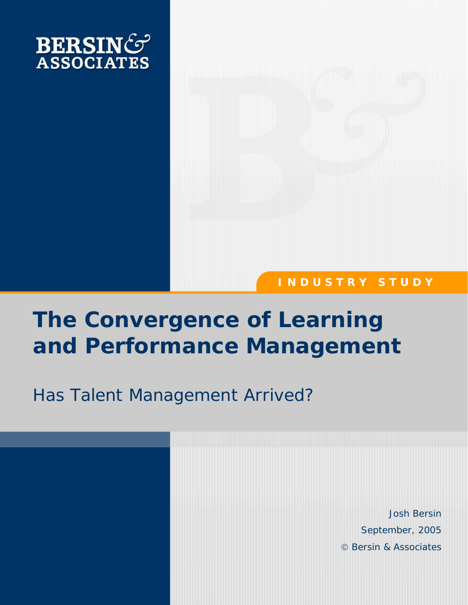

# **I N D U S T R Y S T U D Y**

# **The Convergence of Learning and Performance Management**

# *Has Talent Management Arrived?*

Josh Bersin September, 2005 © Bersin & Associates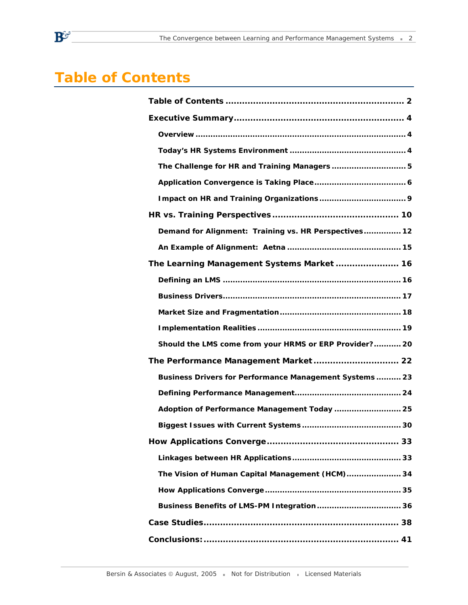# **Table of Contents**

| The Challenge for HR and Training Managers  5          |  |  |  |
|--------------------------------------------------------|--|--|--|
|                                                        |  |  |  |
|                                                        |  |  |  |
|                                                        |  |  |  |
| Demand for Alignment: Training vs. HR Perspectives 12  |  |  |  |
|                                                        |  |  |  |
| The Learning Management Systems Market  16             |  |  |  |
|                                                        |  |  |  |
|                                                        |  |  |  |
|                                                        |  |  |  |
|                                                        |  |  |  |
| Should the LMS come from your HRMS or ERP Provider? 20 |  |  |  |
|                                                        |  |  |  |
| Business Drivers for Performance Management Systems 23 |  |  |  |
|                                                        |  |  |  |
| Adoption of Performance Management Today  25           |  |  |  |
|                                                        |  |  |  |
|                                                        |  |  |  |
|                                                        |  |  |  |
| The Vision of Human Capital Management (HCM) 34        |  |  |  |
|                                                        |  |  |  |
| Business Benefits of LMS-PM Integration 36             |  |  |  |
|                                                        |  |  |  |
|                                                        |  |  |  |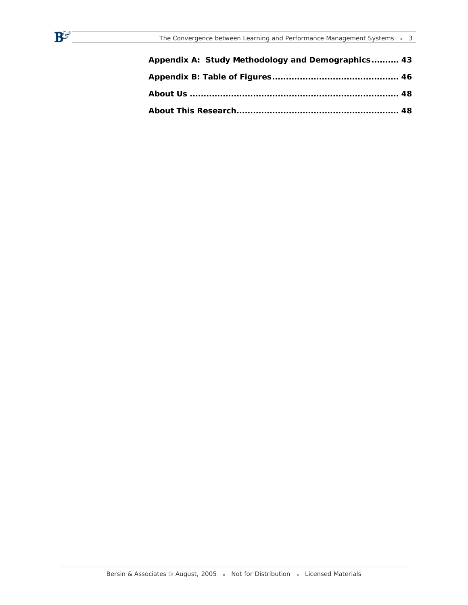$\mathbf{B}^{\mathbf{C}^{\omega^+}}$ 

| Appendix A: Study Methodology and Demographics 43 |  |
|---------------------------------------------------|--|
|                                                   |  |
|                                                   |  |
|                                                   |  |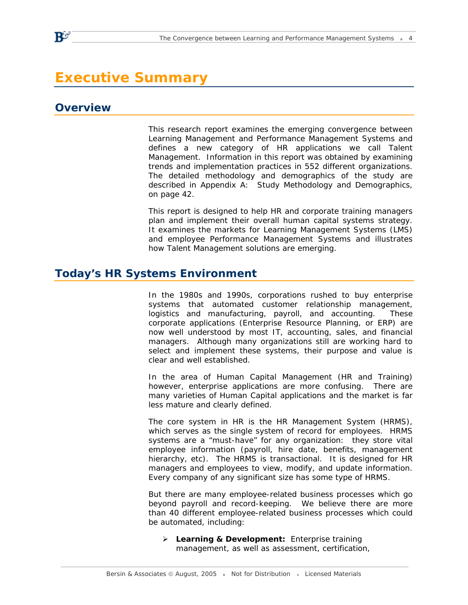# **Executive Summary**

### **Overview**

This research report examines the emerging convergence between Learning Management and Performance Management Systems and defines a new category of HR applications we call Talent Management. Information in this report was obtained by examining trends and implementation practices in 552 different organizations. The detailed methodology and demographics of the study are described in *Appendix A: Study Methodology and Demographics*, on page 42.

This report is designed to help HR and corporate training managers plan and implement their overall human capital systems strategy. It examines the markets for Learning Management Systems (LMS) and employee Performance Management Systems and illustrates how Talent Management solutions are emerging.

### **Today's HR Systems Environment**

In the 1980s and 1990s, corporations rushed to buy enterprise systems that automated customer relationship management, logistics and manufacturing, payroll, and accounting. These corporate applications (Enterprise Resource Planning, or ERP) are now well understood by most IT, accounting, sales, and financial managers. Although many organizations still are working hard to select and implement these systems, their purpose and value is clear and well established.

In the area of Human Capital Management (HR and Training) however, enterprise applications are more confusing. There are many varieties of Human Capital applications and the market is far less mature and clearly defined.

The core system in HR is the HR Management System (HRMS), which serves as the single system of record for employees. HRMS systems are a "must-have" for any organization: they store vital employee information (payroll, hire date, benefits, management hierarchy, etc). The HRMS is transactional. It is designed for HR managers and employees to view, modify, and update information. Every company of any significant size has some type of HRMS.

But there are many employee-related business processes which go beyond payroll and record-keeping. We believe there are more than 40 different employee-related business processes which could be automated, including:

¾ **Learning & Development:** Enterprise training management, as well as assessment, certification,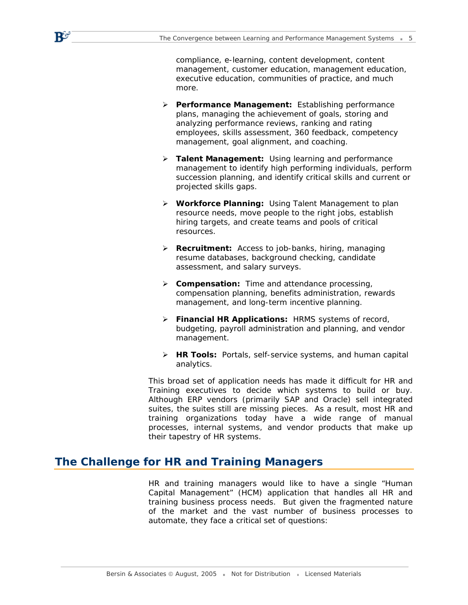compliance, e-learning, content development, content management, customer education, management education, executive education, communities of practice, and much more.

- ¾ **Performance Management:** Establishing performance plans, managing the achievement of goals, storing and analyzing performance reviews, ranking and rating employees, skills assessment, 360 feedback, competency management, goal alignment, and coaching.
- ¾ **Talent Management:** Using learning and performance management to identify high performing individuals, perform succession planning, and identify critical skills and current or projected skills gaps.
- ¾ **Workforce Planning:** Using Talent Management to plan resource needs, move people to the right jobs, establish hiring targets, and create teams and pools of critical resources.
- ¾ **Recruitment:** Access to job-banks, hiring, managing resume databases, background checking, candidate assessment, and salary surveys.
- ¾ **Compensation:** Time and attendance processing, compensation planning, benefits administration, rewards management, and long-term incentive planning.
- ¾ **Financial HR Applications:** HRMS systems of record, budgeting, payroll administration and planning, and vendor management.
- ¾ **HR Tools:** Portals, self-service systems, and human capital analytics.

This broad set of application needs has made it difficult for HR and Training executives to decide which systems to build or buy. Although ERP vendors (primarily SAP and Oracle) sell integrated suites, the suites still are missing pieces. As a result, most HR and training organizations today have a wide range of manual processes, internal systems, and vendor products that make up their tapestry of HR systems.

### **The Challenge for HR and Training Managers**

 $\mathbf{P}$ 

HR and training managers would like to have a single "Human Capital Management" (HCM) application that handles all HR and training business process needs. But given the fragmented nature of the market and the vast number of business processes to automate, they face a critical set of questions: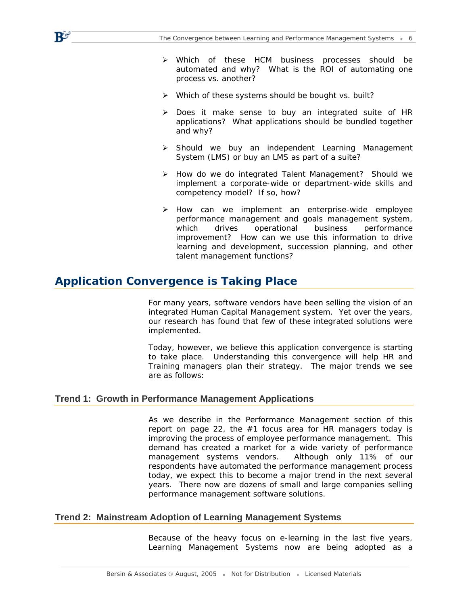- ¾ Which of these HCM business processes should be automated and why? What is the ROI of automating one process vs. another?
- $\triangleright$  Which of these systems should be bought vs. built?
- ¾ Does it make sense to buy an integrated suite of HR applications? What applications should be bundled together and why?
- ¾ Should we buy an independent Learning Management System (LMS) or buy an LMS as part of a suite?
- ¾ How do we do integrated Talent Management? Should we implement a corporate-wide or department-wide skills and competency model? If so, how?
- ¾ How can we implement an enterprise-wide employee performance management and goals management system, which drives operational business performance improvement? How can we use this information to drive learning and development, succession planning, and other talent management functions?

### **Application Convergence is Taking Place**

 $\mathbf{P}$ 

For many years, software vendors have been selling the vision of an integrated Human Capital Management system. Yet over the years, our research has found that few of these integrated solutions were implemented.

Today, however, we believe this application convergence is starting to take place. Understanding this convergence will help HR and Training managers plan their strategy. The major trends we see are as follows:

#### **Trend 1: Growth in Performance Management Applications**

As we describe in the Performance Management section of this report on page 22, the #1 focus area for HR managers today is improving the process of employee performance management. This demand has created a market for a wide variety of performance management systems vendors. Although only 11% of our respondents have automated the performance management process today, we expect this to become a major trend in the next several years. There now are dozens of small and large companies selling performance management software solutions.

#### **Trend 2: Mainstream Adoption of Learning Management Systems**

Because of the heavy focus on e-learning in the last five years, Learning Management Systems now are being adopted as a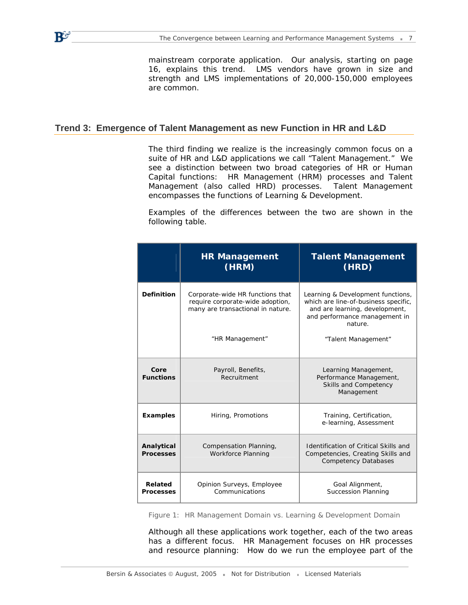mainstream corporate application. Our analysis, starting on page 16, explains this trend. LMS vendors have grown in size and strength and LMS implementations of 20,000-150,000 employees are common.

#### **Trend 3: Emergence of Talent Management as new Function in HR and L&D**

 $\mathbf{R}^{\mathbf{G}}$ 

The third finding we realize is the increasingly common focus on a suite of HR and L&D applications we call "Talent Management." We see a distinction between two broad categories of HR or Human Capital functions: HR Management (HRM) processes and Talent Management (also called HRD) processes. Talent Management encompasses the functions of Learning & Development.

Examples of the differences between the two are shown in the following table.

|                                                                                                                                | <b>HR Management</b><br>(HRM)               | <b>Talent Management</b><br>(HRD)                                                                                                                       |  |
|--------------------------------------------------------------------------------------------------------------------------------|---------------------------------------------|---------------------------------------------------------------------------------------------------------------------------------------------------------|--|
| <b>Definition</b><br>Corporate-wide HR functions that<br>require corporate-wide adoption,<br>many are transactional in nature. |                                             | Learning & Development functions,<br>which are line-of-business specific,<br>and are learning, development,<br>and performance management in<br>nature. |  |
|                                                                                                                                | "HR Management"                             | "Talent Management"                                                                                                                                     |  |
| Core<br><b>Functions</b>                                                                                                       | Payroll, Benefits,<br>Recruitment           | Learning Management,<br>Performance Management,<br>Skills and Competency<br>Management                                                                  |  |
| <b>Examples</b><br>Hiring, Promotions                                                                                          |                                             | Training, Certification,<br>e-learning, Assessment                                                                                                      |  |
| Analytical<br>Compensation Planning,<br><b>Workforce Planning</b><br><b>Processes</b>                                          |                                             | <b>Identification of Critical Skills and</b><br>Competencies, Creating Skills and<br><b>Competency Databases</b>                                        |  |
| Related<br><b>Processes</b>                                                                                                    | Opinion Surveys, Employee<br>Communications | Goal Alignment,<br><b>Succession Planning</b>                                                                                                           |  |

*Figure 1: HR Management Domain vs. Learning & Development Domain* 

Although all these applications work together, each of the two areas has a different focus. HR Management focuses on HR processes and resource planning: How do we run the employee part of the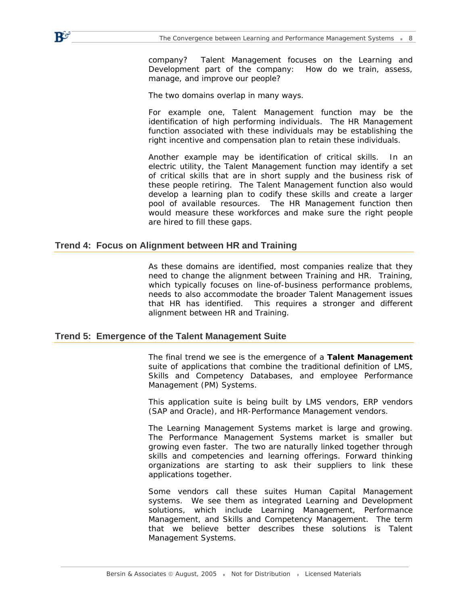company? Talent Management focuses on the Learning and Development part of the company: How do we train, assess, manage, and improve our people?

The two domains overlap in many ways.

For example one, Talent Management function may be the identification of high performing individuals. The HR Management function associated with these individuals may be establishing the right incentive and compensation plan to retain these individuals.

Another example may be identification of critical skills. In an electric utility, the Talent Management function may identify a set of critical skills that are in short supply and the business risk of these people retiring. The Talent Management function also would develop a learning plan to codify these skills and create a larger pool of available resources. The HR Management function then would measure these workforces and make sure the right people are hired to fill these gaps.

#### **Trend 4: Focus on Alignment between HR and Training**

 $\mathbf{P}$ 

As these domains are identified, most companies realize that they need to change the alignment between Training and HR. Training, which typically focuses on line-of-business performance problems, needs to also accommodate the broader Talent Management issues that HR has identified. This requires a stronger and different alignment between HR and Training.

#### **Trend 5: Emergence of the Talent Management Suite**

The final trend we see is the emergence of a **Talent Management** suite of applications that combine the traditional definition of LMS, Skills and Competency Databases, and employee Performance Management (PM) Systems.

This application suite is being built by LMS vendors, ERP vendors (SAP and Oracle), and HR-Performance Management vendors.

The Learning Management Systems market is large and growing. The Performance Management Systems market is smaller but growing even faster. The two are naturally linked together through skills and competencies and learning offerings. Forward thinking organizations are starting to ask their suppliers to link these applications together.

Some vendors call these suites Human Capital Management systems. We see them as integrated Learning and Development solutions, which include Learning Management, Performance Management, and Skills and Competency Management. The term that we believe better describes these solutions is Talent Management Systems.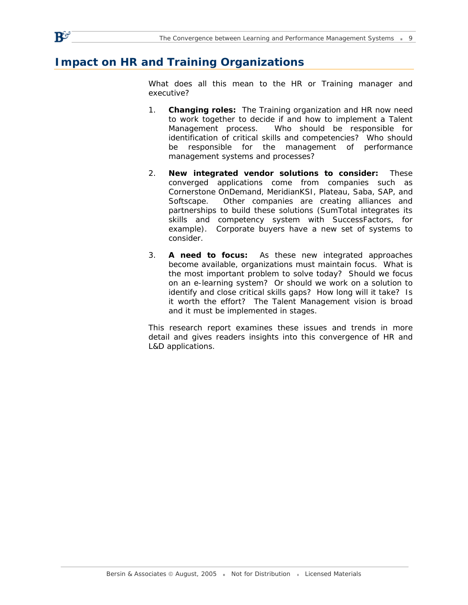# **Impact on HR and Training Organizations**

 $\mathbf{R}^{\mathbf{G}}$ 

What does all this mean to the HR or Training manager and executive?

- 1. **Changing roles:** The Training organization and HR now need to work together to decide if and how to implement a Talent Management process. Who should be responsible for identification of critical skills and competencies? Who should be responsible for the management of performance management systems and processes?
- 2. **New integrated vendor solutions to consider:** These converged applications come from companies such as Cornerstone OnDemand, MeridianKSI, Plateau, Saba, SAP, and Softscape. Other companies are creating alliances and partnerships to build these solutions (SumTotal integrates its skills and competency system with SuccessFactors, for example). Corporate buyers have a new set of systems to consider.
- 3. **A need to focus:** As these new integrated approaches become available, organizations must maintain focus. What is the most important problem to solve today? Should we focus on an e-learning system? Or should we work on a solution to identify and close critical skills gaps? How long will it take? Is it worth the effort? The Talent Management vision is broad and it must be implemented in stages.

This research report examines these issues and trends in more detail and gives readers insights into this convergence of HR and L&D applications.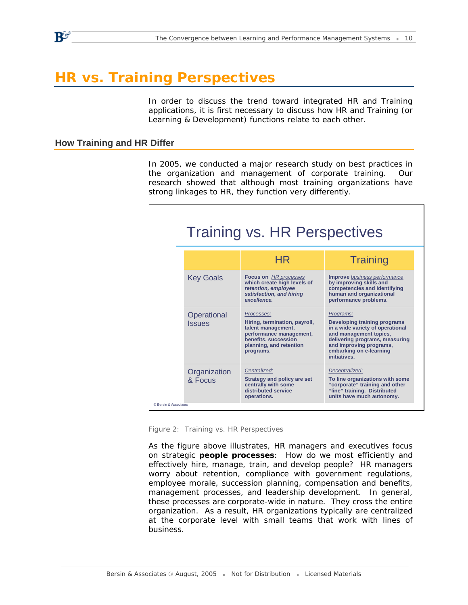# **HR vs. Training Perspectives**

In order to discuss the trend toward integrated HR and Training applications, it is first necessary to discuss how HR and Training (or Learning & Development) functions relate to each other.

#### **How Training and HR Differ**

 $\mathbf{P}$ 

In 2005, we conducted a major research study on best practices in the organization and management of corporate training. Our research showed that although most training organizations have strong linkages to HR, they function very differently.

|                       | <b>Training vs. HR Perspectives</b> |                                                                                                                                                              |                                                                                                                                                                                                                 |  |  |
|-----------------------|-------------------------------------|--------------------------------------------------------------------------------------------------------------------------------------------------------------|-----------------------------------------------------------------------------------------------------------------------------------------------------------------------------------------------------------------|--|--|
|                       |                                     | HR                                                                                                                                                           | <b>Training</b>                                                                                                                                                                                                 |  |  |
|                       | <b>Key Goals</b>                    | <b>Focus on</b> HR processes<br>which create high levels of<br>retention, employee<br>satisfaction, and hiring<br>excellence.                                | <b>Improve</b> business performance<br>by improving skills and<br>competencies and identifying<br>human and organizational<br>performance problems.                                                             |  |  |
| © Bersin & Associates | Operational<br><b>Issues</b>        | Processes:<br>Hiring, termination, payroll,<br>talent management,<br>performance management,<br>benefits, succession<br>planning, and retention<br>programs. | Programs:<br>Developing training programs<br>in a wide variety of operational<br>and management topics,<br>delivering programs, measuring<br>and improving programs,<br>embarking on e-learning<br>initiatives. |  |  |
|                       | Organization<br>& Focus             | Centralized:<br>Strategy and policy are set<br>centrally with some<br>distributed service<br>operations.                                                     | Decentralized:<br>To line organizations with some<br>"corporate" training and other<br>"line" training. Distributed<br>units have much autonomy.                                                                |  |  |

*Figure 2: Training vs. HR Perspectives* 

As the figure above illustrates, HR managers and executives focus on strategic **people processes**: How do we most efficiently and effectively hire, manage, train, and develop people? HR managers worry about retention, compliance with government regulations, employee morale, succession planning, compensation and benefits, management processes, and leadership development. In general, these processes are corporate-wide in nature. They cross the entire organization. As a result, HR organizations typically are centralized at the corporate level with small teams that work with lines of business.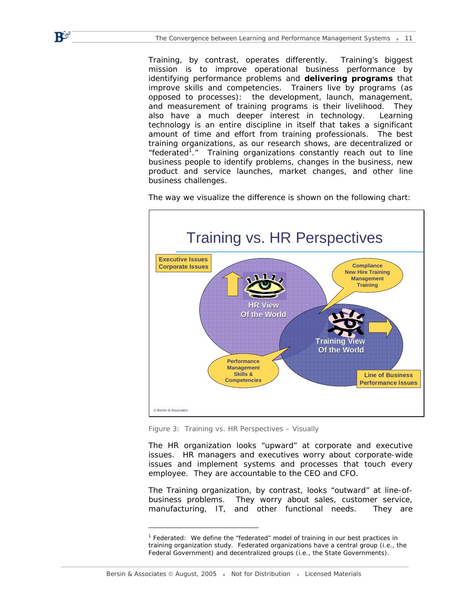Training, by contrast, operates differently. Training's biggest mission is to improve operational business performance by identifying performance problems and **delivering programs** that improve skills and competencies. Trainers live by programs (as opposed to processes): the development, launch, management, and measurement of training programs is their livelihood. They also have a much deeper interest in technology. Learning technology is an entire discipline in itself that takes a significant amount of time and effort from training professionals. The best training organizations, as our research shows, are decentralized or "federated<sup>1</sup>." Training organizations constantly reach out to line business people to identify problems, changes in the business, new product and service launches, market changes, and other line business challenges.



The way we visualize the difference is shown on the following chart:

*Figure 3: Training vs. HR Perspectives – Visually* 

The HR organization looks "upward" at corporate and executive issues. HR managers and executives worry about corporate-wide issues and implement systems and processes that touch every employee. They are accountable to the CEO and CFO.

The Training organization, by contrast, looks "outward" at line-ofbusiness problems. They worry about sales, customer service, manufacturing, IT, and other functional needs. They are

-

R5

<sup>&</sup>lt;sup>1</sup> Federated: We define the "federated" model of training in our best practices in training organization study. Federated organizations have a central group (i.e., the Federal Government) and decentralized groups (i.e., the State Governments).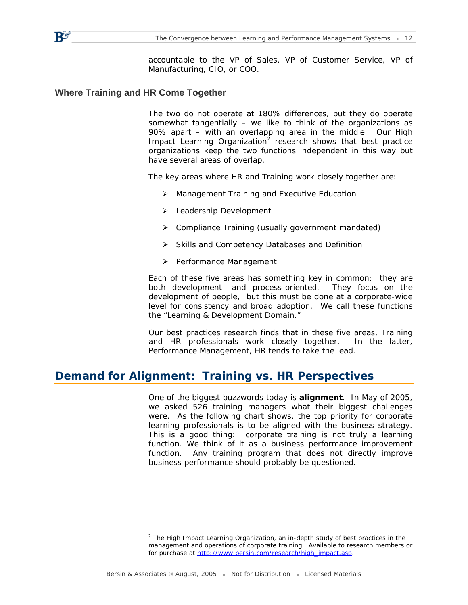accountable to the VP of Sales, VP of Customer Service, VP of Manufacturing, CIO, or COO.

#### **Where Training and HR Come Together**

 $\mathbf{P}$ 

The two do not operate at 180% differences, but they do operate somewhat tangentially – we like to think of the organizations as 90% apart – with an overlapping area in the middle. Our High Impact Learning Organization<sup>2</sup> research shows that best practice organizations keep the two functions independent in this way but have several areas of overlap.

The key areas where HR and Training work closely together are:

- ¾ Management Training and Executive Education
- ¾ Leadership Development
- ¾ Compliance Training (usually government mandated)
- ¾ Skills and Competency Databases and Definition
- ¾ Performance Management.

Each of these five areas has something key in common: they are both development- and process-oriented. They focus on the development of people, but this must be done at a corporate-wide level for consistency and broad adoption. We call these functions the "Learning & Development Domain."

Our best practices research finds that in these five areas, Training and HR professionals work closely together. In the latter, Performance Management, HR tends to take the lead.

### **Demand for Alignment: Training vs. HR Perspectives**

One of the biggest buzzwords today is **alignment**. In May of 2005, we asked 526 training managers what their biggest challenges were. As the following chart shows, the top priority for corporate learning professionals is to be aligned with the business strategy. This is a good thing: corporate training is not truly a learning function. We think of it as a business performance improvement function. Any training program that does not directly improve business performance should probably be questioned.

-

<sup>2</sup> *The High Impact Learning Organization*, an in-depth study of best practices in the management and operations of corporate training. Available to research members or for purchase at [http://www.bersin.com/research/high\\_impact.asp.](http://www.bersin.com/research/high_impact.asp)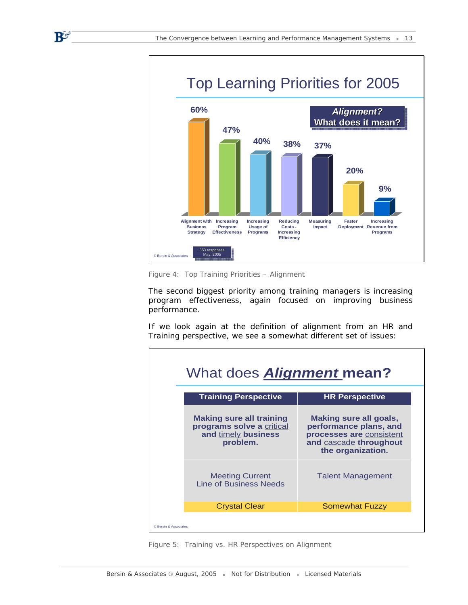

*Figure 4: Top Training Priorities – Alignment* 

 $\mathbf{B}^\mathbf{C}$ 

The second biggest priority among training managers is increasing program effectiveness, again focused on improving business performance.

If we look again at the definition of alignment from an HR and Training perspective, we see a somewhat different set of issues:



*Figure 5: Training vs. HR Perspectives on Alignment*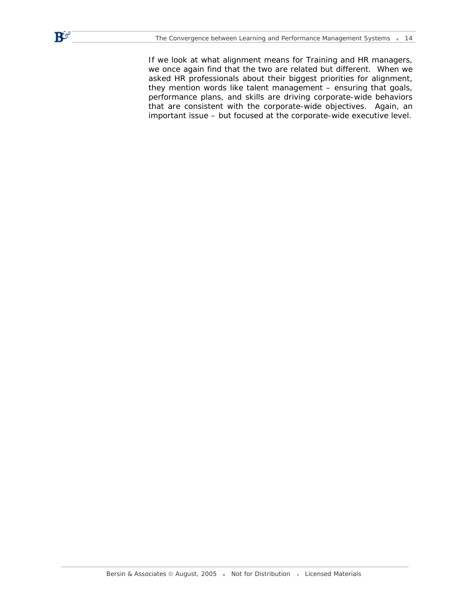$\mathbf{B}^{\mathbf{G}}$ 

If we look at what alignment means for Training and HR managers, we once again find that the two are related but different. When we asked HR professionals about their biggest priorities for alignment, they mention words like talent management – ensuring that goals, performance plans, and skills are driving corporate-wide behaviors that are consistent with the corporate-wide objectives. Again, an important issue – but focused at the corporate-wide executive level.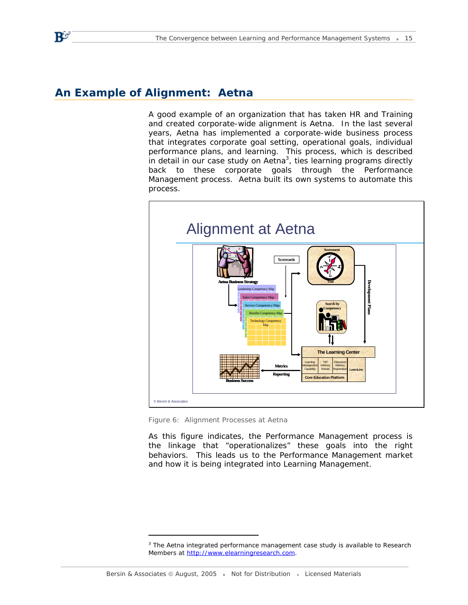# **An Example of Alignment: Aetna**

 $\mathbf{B}^{\mathcal{G}}$ 

A good example of an organization that has taken HR and Training and created corporate-wide alignment is Aetna. In the last several years, Aetna has implemented a corporate-wide business process that integrates corporate goal setting, operational goals, individual performance plans, and learning. This process, which is described in detail in our case study on Aetna<sup>3</sup>, ties learning programs directly back to these corporate goals through the Performance Management process. Aetna built its own systems to automate this process.



*Figure 6: Alignment Processes at Aetna* 

As this figure indicates, the Performance Management process is the linkage that "operationalizes" these goals into the right behaviors. This leads us to the Performance Management market and how it is being integrated into Learning Management.

 $3$  The Aetna integrated performance management case study is available to Research Members at [http://www.elearningresearch.com.](http://www.elearningresearch.com)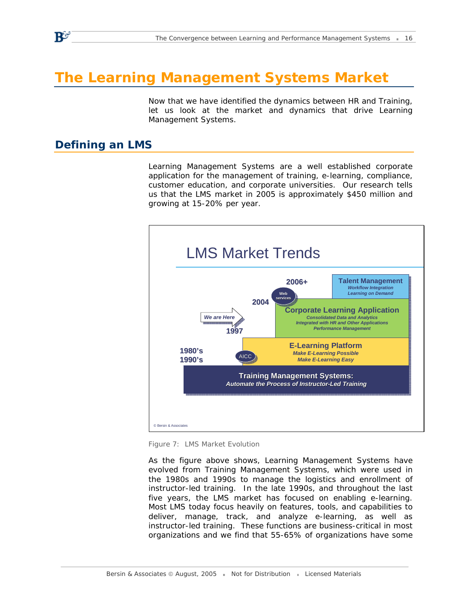# **The Learning Management Systems Market**

Now that we have identified the dynamics between HR and Training, let us look at the market and dynamics that drive Learning Management Systems.

### **Defining an LMS**

 $\mathbf{B}^{\mathcal{G}}$ 

Learning Management Systems are a well established corporate application for the management of training, e-learning, compliance, customer education, and corporate universities. Our research tells us that the LMS market in 2005 is approximately \$450 million and growing at 15-20% per year.



*Figure 7: LMS Market Evolution* 

As the figure above shows, Learning Management Systems have evolved from Training Management Systems, which were used in the 1980s and 1990s to manage the logistics and enrollment of instructor-led training. In the late 1990s, and throughout the last five years, the LMS market has focused on enabling e-learning. Most LMS today focus heavily on features, tools, and capabilities to deliver, manage, track, and analyze e-learning, as well as instructor-led training. These functions are business-critical in most organizations and we find that 55-65% of organizations have some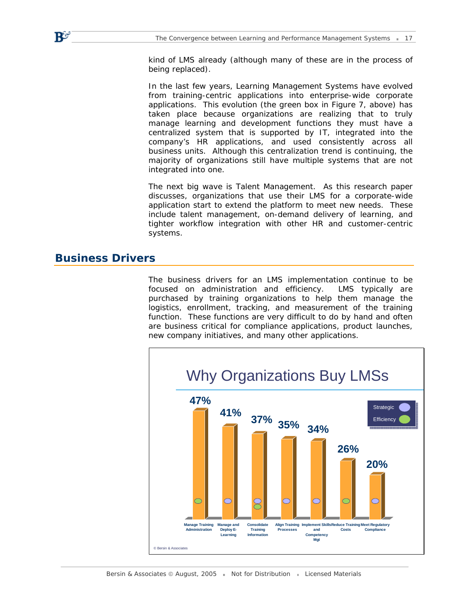kind of LMS already (although many of these are in the process of being replaced).

In the last few years, Learning Management Systems have evolved from training-centric applications into enterprise-wide corporate applications. This evolution (the green box in Figure 7, above) has taken place because organizations are realizing that to truly manage learning and development functions they must have a centralized system that is supported by IT, integrated into the company's HR applications, and used consistently across all business units. Although this centralization trend is continuing, the majority of organizations still have multiple systems that are not integrated into one.

The next big wave is Talent Management. As this research paper discusses, organizations that use their LMS for a corporate-wide application start to extend the platform to meet new needs. These include talent management, on-demand delivery of learning, and tighter workflow integration with other HR and customer-centric systems.

### **Business Drivers**

 $\mathbf{B}^\mathbf{C}$ 

The business drivers for an LMS implementation continue to be focused on administration and efficiency. LMS typically are purchased by training organizations to help them manage the logistics, enrollment, tracking, and measurement of the training function. These functions are very difficult to do by hand and often are business critical for compliance applications, product launches, new company initiatives, and many other applications.



Bersin & Associates © August, 2005 Resolution Constribution Resolution Adderials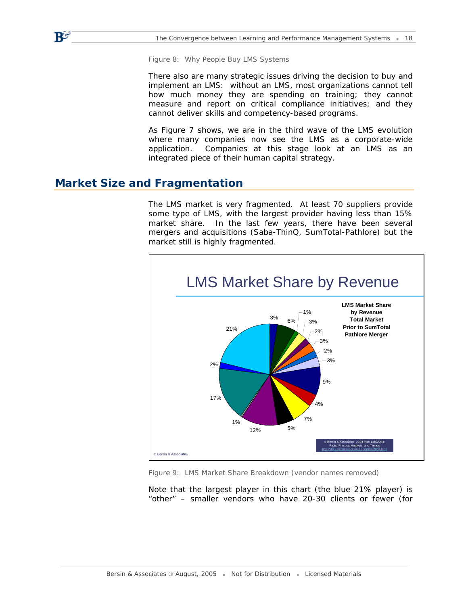*Figure 8: Why People Buy LMS Systems* 

There also are many strategic issues driving the decision to buy and implement an LMS: without an LMS, most organizations cannot tell how much money they are spending on training; they cannot measure and report on critical compliance initiatives; and they cannot deliver skills and competency-based programs.

As Figure 7 shows, we are in the third wave of the LMS evolution where many companies now see the LMS as a corporate-wide application. Companies at this stage look at an LMS as an integrated piece of their human capital strategy.

### **Market Size and Fragmentation**

 $\mathbf{B}^\mathbf{C}$ 

The LMS market is very fragmented. At least 70 suppliers provide some type of LMS, with the largest provider having less than 15% market share. In the last few years, there have been several mergers and acquisitions (Saba-ThinQ, SumTotal-Pathlore) but the market still is highly fragmented.



*Figure 9: LMS Market Share Breakdown (vendor names removed)* 

Note that the largest player in this chart (the blue 21% player) is "other" – smaller vendors who have 20-30 clients or fewer (for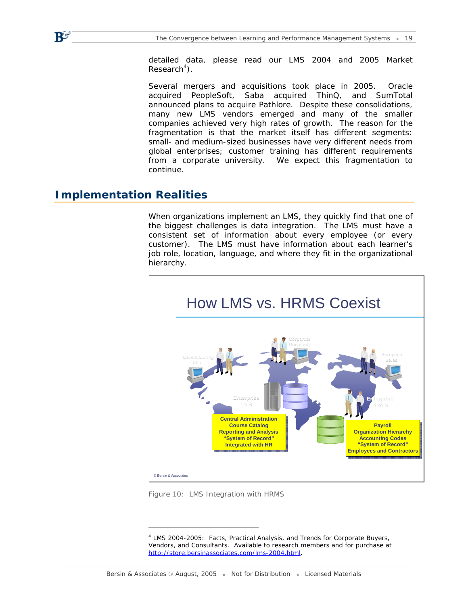detailed data, please read our LMS 2004 and 2005 Market  $Research<sup>4</sup>$ ).

Several mergers and acquisitions took place in 2005. Oracle acquired PeopleSoft, Saba acquired ThinQ, and SumTotal announced plans to acquire Pathlore. Despite these consolidations, many new LMS vendors emerged and many of the smaller companies achieved very high rates of growth. The reason for the fragmentation is that the market itself has different segments: small- and medium-sized businesses have very different needs from global enterprises; customer training has different requirements from a corporate university. We expect this fragmentation to continue.

### **Implementation Realities**

 $\mathbf{B}^{\mathcal{G}^{\prime}}$ 

When organizations implement an LMS, they quickly find that one of the biggest challenges is data integration. The LMS must have a consistent set of information about every employee (or every customer). The LMS must have information about each learner's job role, location, language, and where they fit in the organizational hierarchy.



*Figure 10: LMS Integration with HRMS* 

-

<sup>&</sup>lt;sup>4</sup> LMS 2004-2005: Facts, Practical Analysis, and Trends for Corporate Buyers, Vendors, and Consultants. Available to research members and for purchase at [http://store.bersinassociates.com/lms-2004.html.](http://store.bersinassociates.com/lms-2004.html)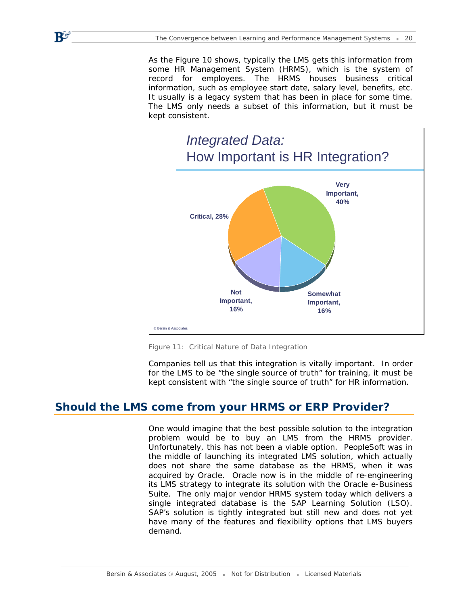$\mathbf{P}^{\sigma}$ 

As the Figure 10 shows, typically the LMS gets this information from some HR Management System (HRMS), which is the system of record for employees. The HRMS houses business critical information, such as employee start date, salary level, benefits, etc. It usually is a legacy system that has been in place for some time. The LMS only needs a subset of this information, but it must be kept consistent.



*Figure 11: Critical Nature of Data Integration* 

Companies tell us that this integration is vitally important. In order for the LMS to be "the single source of truth" for training, it must be kept consistent with "the single source of truth" for HR information.

# **Should the LMS come from your HRMS or ERP Provider?**

One would imagine that the best possible solution to the integration problem would be to buy an LMS from the HRMS provider. Unfortunately, this has not been a viable option. PeopleSoft was in the middle of launching its integrated LMS solution, which actually does *not* share the same database as the HRMS, when it was acquired by Oracle. Oracle now is in the middle of re-engineering its LMS strategy to integrate its solution with the Oracle e-Business Suite. The only major vendor HRMS system today which delivers a single integrated database is the SAP Learning Solution (LSO). SAP's solution is tightly integrated but still new and does not yet have many of the features and flexibility options that LMS buyers demand.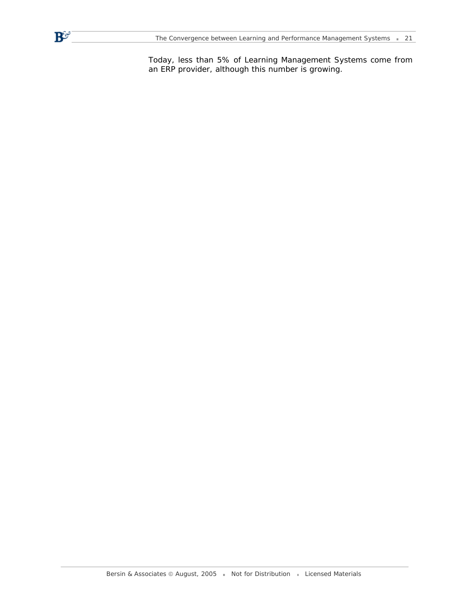$\mathbf{B}^{\mathbf{C}}$ 

Today, less than 5% of Learning Management Systems come from an ERP provider, although this number is growing.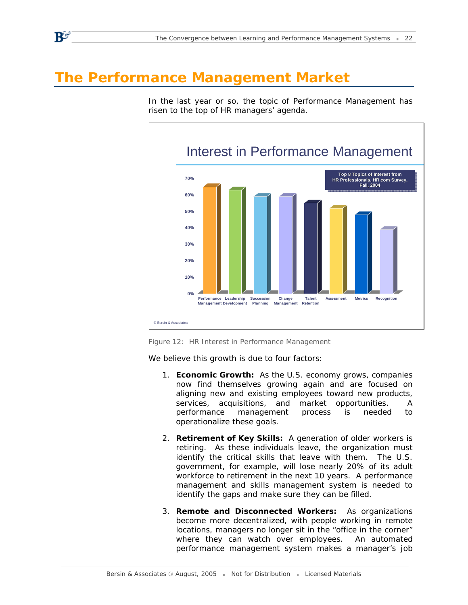# **The Performance Management Market**

 $\mathbf{B}^{\mathcal{G}}$ 

In the last year or so, the topic of Performance Management has risen to the top of HR managers' agenda.



*Figure 12: HR Interest in Performance Management* 

We believe this growth is due to four factors:

- 1. **Economic Growth:** As the U.S. economy grows, companies now find themselves growing again and are focused on aligning new and existing employees toward new products, services, acquisitions, and market opportunities. A performance management process is needed to operationalize these goals.
- 2. **Retirement of Key Skills:** A generation of older workers is retiring. As these individuals leave, the organization must identify the critical skills that leave with them. The U.S. government, for example, will lose nearly 20% of its adult workforce to retirement in the next 10 years. A performance management and skills management system is needed to identify the gaps and make sure they can be filled.
- 3. **Remote and Disconnected Workers:** As organizations become more decentralized, with people working in remote locations, managers no longer sit in the "office in the corner" where they can watch over employees. An automated performance management system makes a manager's job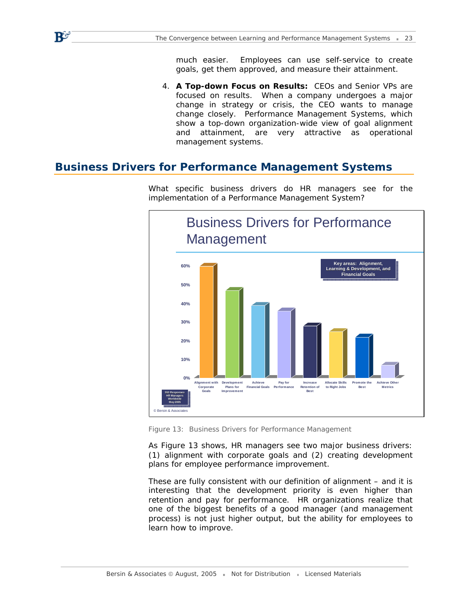much easier. Employees can use self-service to create goals, get them approved, and measure their attainment.

4. **A Top-down Focus on Results:** CEOs and Senior VPs are focused on results. When a company undergoes a major change in strategy or crisis, the CEO wants to manage change closely. Performance Management Systems, which show a top-down organization-wide view of goal alignment and attainment, are very attractive as operational management systems.

### **Business Drivers for Performance Management Systems**

 $\mathbf{B}^\mathbf{C}$ 



What specific business drivers do HR managers see for the implementation of a Performance Management System?

*Figure 13: Business Drivers for Performance Management* 

As Figure 13 shows, HR managers see two major business drivers: (1) alignment with corporate goals and (2) creating development plans for employee performance improvement.

These are fully consistent with our definition of alignment – and it is interesting that the development priority is even higher than retention and pay for performance. *HR organizations realize that one of the biggest benefits of a good manager (and management process) is not just higher output, but the ability for employees to learn how to improve.*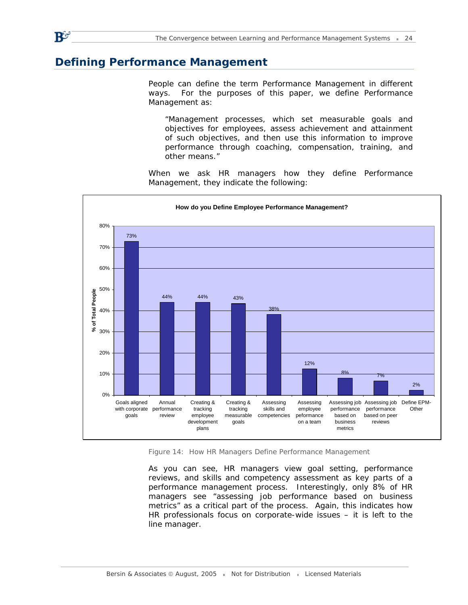# **Defining Performance Management**

 $\mathbf{R}$ o

People can define the term Performance Management in different ways. For the purposes of this paper, we define Performance Management as:

*"Management processes, which set measurable goals and objectives for employees, assess achievement and attainment of such objectives, and then use this information to improve performance through coaching, compensation, training, and other means."* 

When we ask HR managers how they define Performance Management, they indicate the following:



*Figure 14: How HR Managers Define Performance Management* 

As you can see, HR managers view goal setting, performance reviews, and skills and competency assessment as key parts of a performance management process. Interestingly, only 8% of HR managers see "assessing job performance based on business metrics" as a critical part of the process. Again, this indicates how HR professionals focus on corporate-wide issues – it is left to the line manager.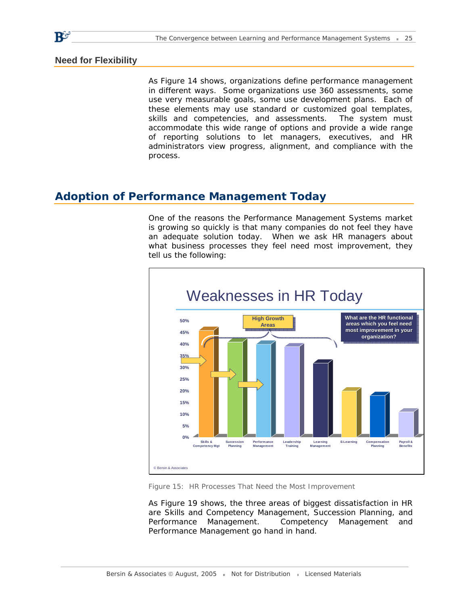#### **Need for Flexibility**

As Figure 14 shows, organizations define performance management in different ways. Some organizations use 360 assessments, some use very measurable goals, some use development plans. Each of these elements may use standard or customized goal templates, skills and competencies, and assessments. The system must accommodate this wide range of options and provide a wide range of reporting solutions to let managers, executives, and HR administrators view progress, alignment, and compliance with the process.

# **Adoption of Performance Management Today**

One of the reasons the Performance Management Systems market is growing so quickly is that many companies do not feel they have an adequate solution today. When we ask HR managers about what business processes they feel need most improvement, they tell us the following:



*Figure 15: HR Processes That Need the Most Improvement* 

As Figure 19 shows, the three areas of biggest dissatisfaction in HR are Skills and Competency Management, Succession Planning, and Performance Management. Competency Management and Performance Management go hand in hand.



 $\mathbf{R}^{\mathbf{G}}$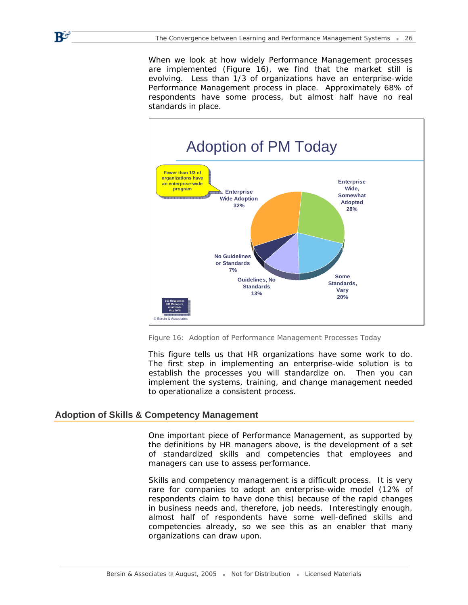When we look at how widely Performance Management processes are implemented (Figure 16), we find that the market still is evolving. Less than 1/3 of organizations have an enterprise-wide Performance Management process in place. Approximately 68% of respondents have some process, but almost half have no real standards in place.



*Figure 16: Adoption of Performance Management Processes Today* 

This figure tells us that HR organizations have some work to do. The first step in implementing an enterprise-wide solution is to establish the processes you will standardize on. Then you can implement the systems, training, and change management needed to operationalize a consistent process.

#### **Adoption of Skills & Competency Management**

R5

One important piece of Performance Management, as supported by the definitions by HR managers above, is the development of a set of standardized skills and competencies that employees and managers can use to assess performance.

Skills and competency management is a difficult process. It is very rare for companies to adopt an enterprise-wide model (12% of respondents claim to have done this) because of the rapid changes in business needs and, therefore, job needs. Interestingly enough, almost half of respondents have some well-defined skills and competencies already, so we see this as an enabler that many organizations can draw upon.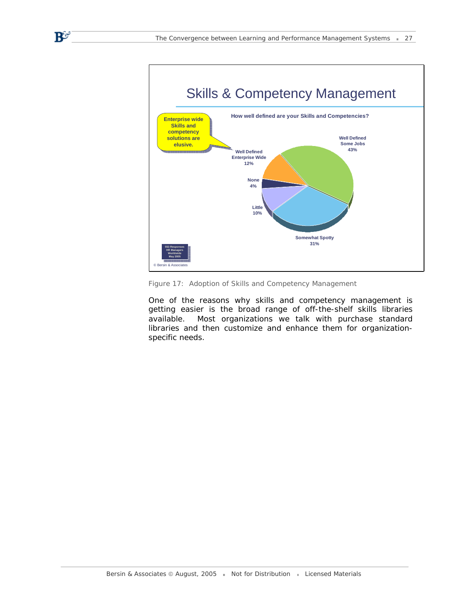$\mathbf{B}^{\mathbf{G}}$ 



*Figure 17: Adoption of Skills and Competency Management* 

One of the reasons why skills and competency management is getting easier is the broad range of off-the-shelf skills libraries available. Most organizations we talk with purchase standard libraries and then customize and enhance them for organizationspecific needs.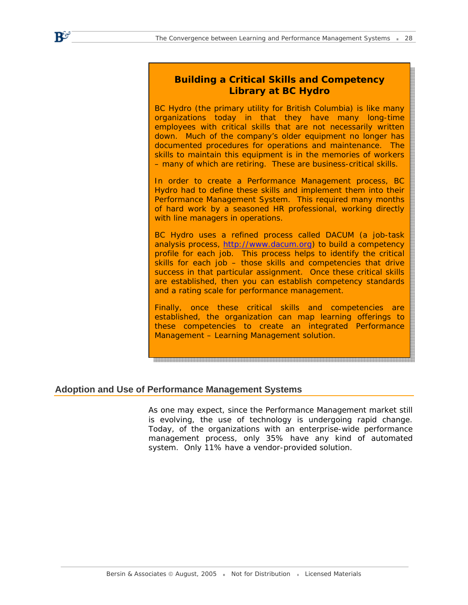### *Building a Critical Skills and Competency Library at BC Hydro*

BC Hydro (the primary utility for British Columbia) is like many organizations today in that they have many long-time employees with critical skills that are not necessarily written down. Much of the company's older equipment no longer has documented procedures for operations and maintenance. The skills to maintain this equipment is in the memories of workers – many of which are retiring. These are business-critical skills.

In order to create a Performance Management process, BC Hydro had to define these skills and implement them into their Performance Management System. This required many months of hard work by a seasoned HR professional, working directly with line managers in operations.

BC Hydro uses a refined process called DACUM (a job-task analysis process, [http://www.dacum.org\)](http://www.dacum.org) to build a competency profile for each job. This process helps to identify the critical skills for each job – those skills and competencies that drive success in that particular assignment. Once these critical skills are established, then you can establish competency standards and a rating scale for performance management.

Finally, once these critical skills and competencies are established, the organization can map learning offerings to these competencies to create an integrated Performance Management – Learning Management solution.

### **Adoption and Use of Performance Management Systems**

 $\mathbf{R}^{\mathbf{G}}$ 

As one may expect, since the Performance Management market still is evolving, the use of technology is undergoing rapid change. Today, of the organizations with an enterprise-wide performance management process, only 35% have any kind of automated system. Only 11% have a vendor-provided solution.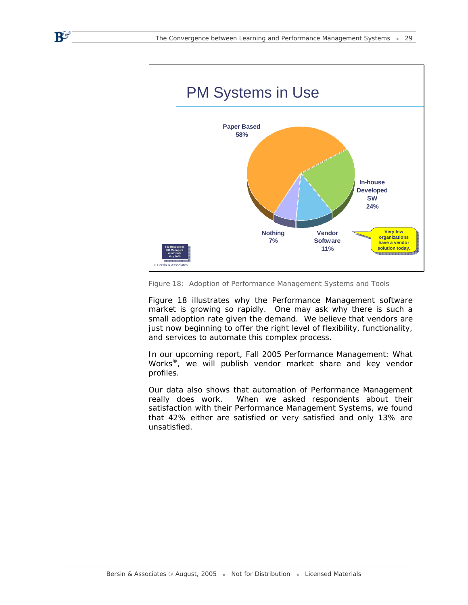$\mathbf{B}^\omega$ 



*Figure 18: Adoption of Performance Management Systems and Tools* 

Figure 18 illustrates why the Performance Management software market is growing so rapidly. One may ask why there is such a small adoption rate given the demand. We believe that vendors are just now beginning to offer the right level of flexibility, functionality, and services to automate this complex process.

In our upcoming report, *Fall 2005 Performance Management: What Works®,* we will publish vendor market share and key vendor profiles.

Our data also shows that automation of Performance Management really does work. When we asked respondents about their satisfaction with their Performance Management Systems, we found that 42% either are satisfied or very satisfied and only 13% are unsatisfied.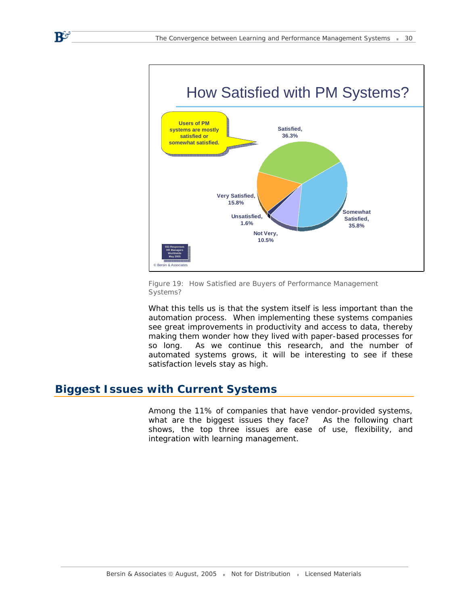

*Figure 19: How Satisfied are Buyers of Performance Management Systems?* 

What this tells us is that the system itself is less important than the automation process. When implementing these systems companies see great improvements in productivity and access to data, thereby making them wonder how they lived with paper-based processes for so long. As we continue this research, and the number of automated systems grows, it will be interesting to see if these satisfaction levels stay as high.

# **Biggest Issues with Current Systems**

 $\mathbf{B}^\omega$ 

Among the 11% of companies that have vendor-provided systems, what are the biggest issues they face? As the following chart shows, the top three issues are ease of use, flexibility, and integration with learning management.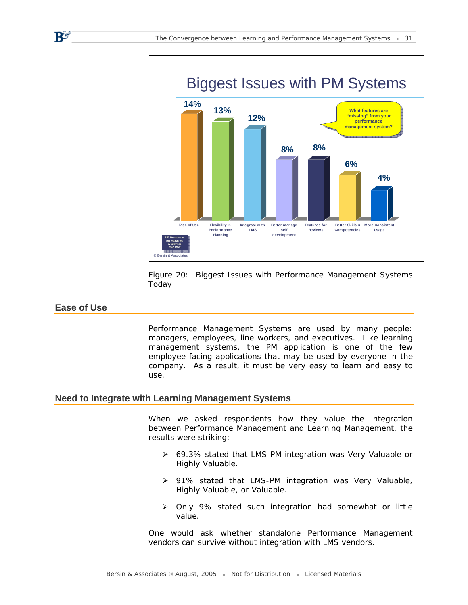

Figure 20: Biggest Issues with Performance Management Systems Today

#### **Ease of Use**

 $\mathbf{B}^\omega$ 

Performance Management Systems are used by many people: managers, employees, line workers, and executives. Like learning management systems, the PM application is one of the few employee-facing applications that may be used by everyone in the company. As a result, it must be very easy to learn and easy to use.

#### **Need to Integrate with Learning Management Systems**

When we asked respondents how they value the integration between Performance Management and Learning Management, the results were striking:

- ¾ 69.3% stated that LMS-PM integration was Very Valuable or Highly Valuable.
- ¾ 91% stated that LMS-PM integration was Very Valuable, Highly Valuable, or Valuable.
- ¾ Only 9% stated such integration had somewhat or little value.

One would ask whether standalone Performance Management vendors can survive without integration with LMS vendors.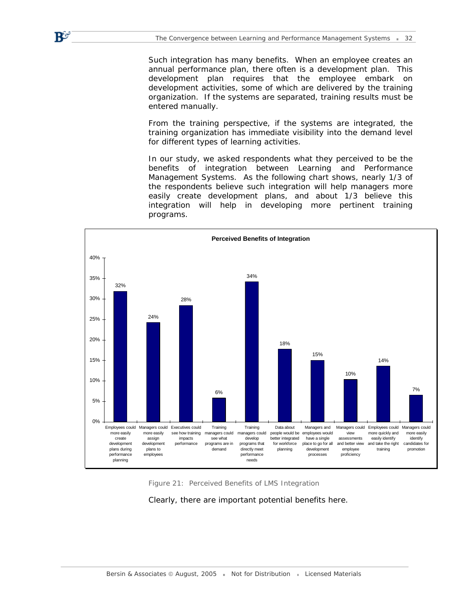$\mathbf{B}^\omega$ 

Such integration has many benefits. When an employee creates an annual performance plan, there often is a development plan. This development plan requires that the employee embark on development activities, some of which are delivered by the training organization. If the systems are separated, training results must be entered manually.

From the training perspective, if the systems are integrated, the training organization has immediate visibility into the demand level for different types of learning activities.

In our study, we asked respondents what they perceived to be the benefits of integration between Learning and Performance Management Systems. As the following chart shows, nearly 1/3 of the respondents believe such integration will help managers more easily create development plans, and about 1/3 believe this integration will help in developing more pertinent training programs.



*Figure 21: Perceived Benefits of LMS Integration* 

Clearly, there are important potential benefits here.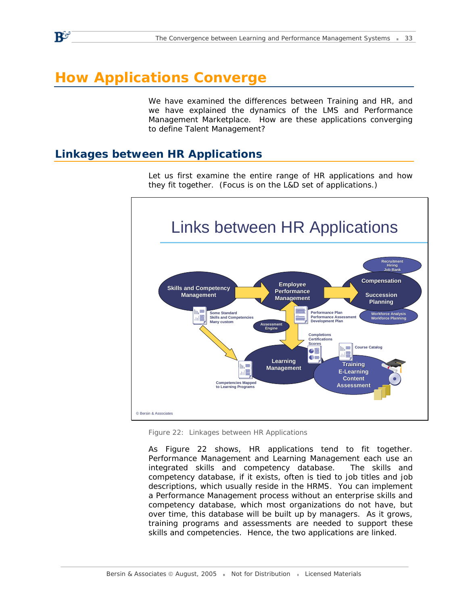# **How Applications Converge**

 $\mathbf{R}^{\mathbf{G}}$ 

We have examined the differences between Training and HR, and we have explained the dynamics of the LMS and Performance Management Marketplace. How are these applications converging to define Talent Management?

# **Linkages between HR Applications**



Let us first examine the entire range of HR applications and how they fit together. (Focus is on the L&D set of applications.)

*Figure 22: Linkages between HR Applications* 

As Figure 22 shows, HR applications tend to fit together. Performance Management and Learning Management each use an integrated skills and competency database. The skills and competency database, if it exists, often is tied to job titles and job descriptions, which usually reside in the HRMS. You can implement a Performance Management process without an enterprise skills and competency database, which most organizations do not have, but over time, this database will be built up by managers. As it grows, training programs and assessments are needed to support these skills and competencies. Hence, the two applications are linked.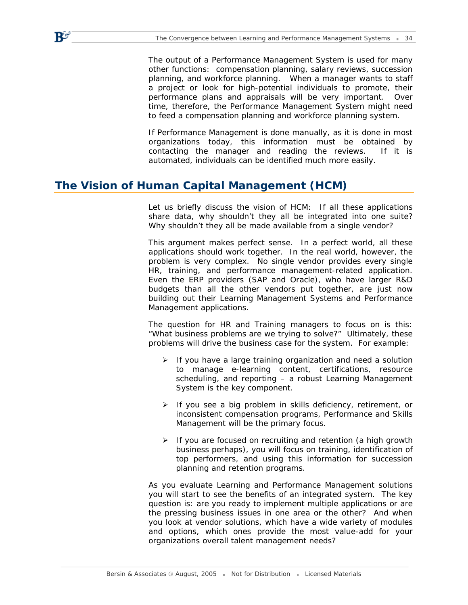The output of a Performance Management System is used for many other functions: compensation planning, salary reviews, succession planning, and workforce planning. When a manager wants to staff a project or look for high-potential individuals to promote, their performance plans and appraisals will be very important. Over time, therefore, the Performance Management System might need to feed a compensation planning and workforce planning system.

If Performance Management is done manually, as it is done in most organizations today, this information must be obtained by contacting the manager and reading the reviews. If it is automated, individuals can be identified much more easily.

# **The Vision of Human Capital Management (HCM)**

 $\mathbf{P}$ 

Let us briefly discuss the vision of HCM: If all these applications share data, why shouldn't they all be integrated into one suite? Why shouldn't they all be made available from a single vendor?

This argument makes perfect sense. In a perfect world, all these applications should work together. In the real world, however, the problem is very complex. No single vendor provides every single HR, training, and performance management-related application. Even the ERP providers (SAP and Oracle), who have larger R&D budgets than all the other vendors put together, are just now building out their Learning Management Systems and Performance Management applications.

The question for HR and Training managers to focus on is this: "What business problems are we trying to solve?" *Ultimately, these problems will drive the business case for the system.* For example:

- $\triangleright$  If you have a large training organization and need a solution to manage e-learning content, certifications, resource scheduling, and reporting – a robust Learning Management System is the key component.
- $\triangleright$  If you see a big problem in skills deficiency, retirement, or inconsistent compensation programs, Performance and Skills Management will be the primary focus.
- $\triangleright$  If you are focused on recruiting and retention (a high growth business perhaps), you will focus on training, identification of top performers, and using this information for succession planning and retention programs.

As you evaluate Learning and Performance Management solutions you will start to see the benefits of an integrated system. The key question is: are you ready to implement multiple applications or are the pressing business issues in one area or the other? And when you look at vendor solutions, which have a wide variety of modules and options, which ones provide the most value-add for your organizations overall talent management needs?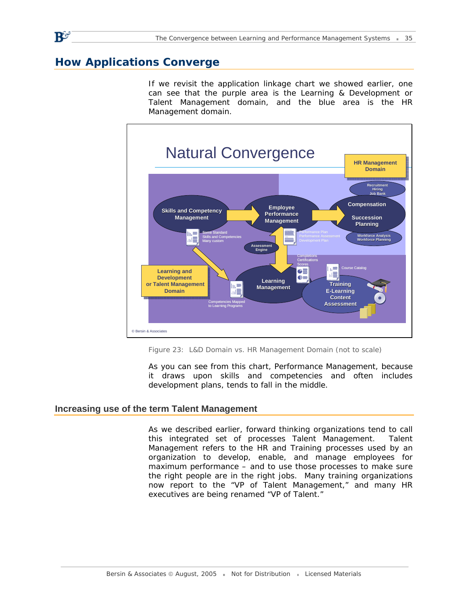# **How Applications Converge**

If we revisit the application linkage chart we showed earlier, one can see that the purple area is the Learning & Development or Talent Management domain, and the blue area is the HR Management domain.



*Figure 23: L&D Domain vs. HR Management Domain (not to scale)* 

As you can see from this chart, Performance Management, because it draws upon skills and competencies and often includes development plans, tends to fall in the middle.

#### **Increasing use of the term Talent Management**

As we described earlier, forward thinking organizations tend to call this integrated set of processes Talent Management. Talent Management refers to the HR and Training processes used by an organization to develop, enable, and manage employees for maximum performance – and to use those processes to make sure the right people are in the right jobs. Many training organizations now report to the "VP of Talent Management," and many HR executives are being renamed "VP of Talent."

 $\mathbf{R}^{\mathbf{G}}$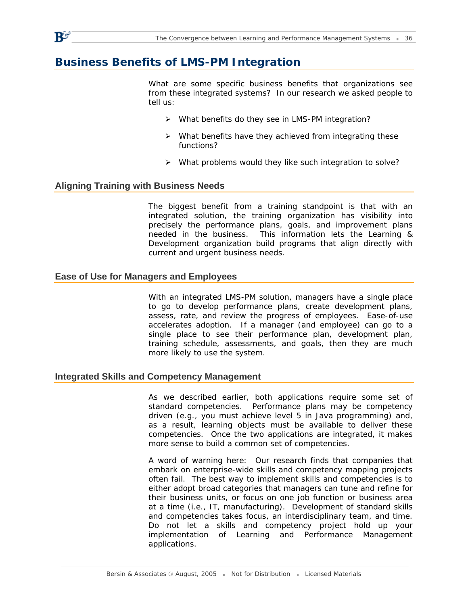# **Business Benefits of LMS-PM Integration**

What are some specific business benefits that organizations see from these integrated systems? In our research we asked people to tell us:

- ¾ What benefits do they see in LMS-PM integration?
- $\triangleright$  What benefits have they achieved from integrating these functions?
- ¾ What problems would they like such integration to solve?

#### **Aligning Training with Business Needs**

The biggest benefit from a training standpoint is that with an integrated solution, the training organization has visibility into precisely the performance plans, goals, and improvement plans needed in the business. This information lets the Learning & Development organization build programs that align directly with current and urgent business needs.

#### **Ease of Use for Managers and Employees**

With an integrated LMS-PM solution, managers have a single place to go to develop performance plans, create development plans, assess, rate, and review the progress of employees. Ease-of-use accelerates adoption. If a manager (and employee) can go to a single place to see their performance plan, development plan, training schedule, assessments, and goals, then they are much more likely to use the system.

#### **Integrated Skills and Competency Management**

As we described earlier, both applications require some set of standard competencies. Performance plans may be competency driven (e.g., you must achieve level 5 in Java programming) and, as a result, learning objects must be available to deliver these competencies. Once the two applications are integrated, it makes more sense to build a common set of competencies.

A word of warning here: Our research finds that companies that embark on enterprise-wide skills and competency mapping projects often fail. The best way to implement skills and competencies is to either adopt broad categories that managers can tune and refine for their business units, or focus on one job function or business area at a time (i.e., IT, manufacturing). Development of standard skills and competencies takes focus, an interdisciplinary team, and time. Do not let a skills and competency project hold up your implementation of Learning and Performance Management applications.

 $\mathbf{R}^{\mathcal{G}}$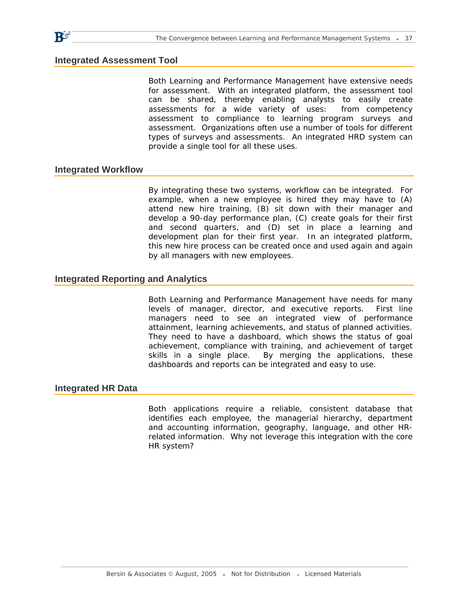#### **Integrated Assessment Tool**

 $\mathbf{P}$ 

Both Learning and Performance Management have extensive needs for assessment. With an integrated platform, the assessment tool can be shared, thereby enabling analysts to easily create assessments for a wide variety of uses: from competency assessment to compliance to learning program surveys and assessment. Organizations often use a number of tools for different types of surveys and assessments. An integrated HRD system can provide a single tool for all these uses.

#### **Integrated Workflow**

By integrating these two systems, workflow can be integrated. For example, when a new employee is hired they may have to (A) attend new hire training, (B) sit down with their manager and develop a 90-day performance plan, (C) create goals for their first and second quarters, and (D) set in place a learning and development plan for their first year. In an integrated platform, this new hire process can be created once and used again and again by all managers with new employees.

#### **Integrated Reporting and Analytics**

Both Learning and Performance Management have needs for many levels of manager, director, and executive reports. First line managers need to see an integrated view of performance attainment, learning achievements, and status of planned activities. They need to have a dashboard, which shows the status of goal achievement, compliance with training, and achievement of target skills in a single place. By merging the applications, these dashboards and reports can be integrated and easy to use.

#### **Integrated HR Data**

Both applications require a reliable, consistent database that identifies each employee, the managerial hierarchy, department and accounting information, geography, language, and other HRrelated information. Why not leverage this integration with the core HR system?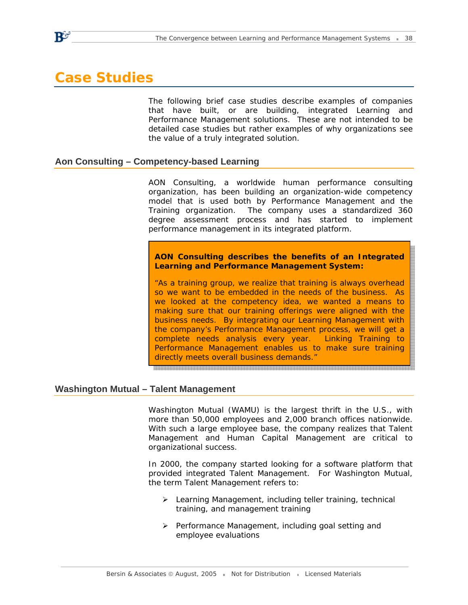# **Case Studies**

The following brief case studies describe examples of companies that have built, or are building, integrated Learning and Performance Management solutions. These are not intended to be detailed case studies but rather examples of why organizations see the value of a truly integrated solution.

#### **Aon Consulting – Competency-based Learning**

AON Consulting, a worldwide human performance consulting organization, has been building an organization-wide competency model that is used both by Performance Management and the Training organization. The company uses a standardized 360 degree assessment process and has started to implement performance management in its integrated platform.

**AON Consulting describes the benefits of an Integrated Learning and Performance Management System:** 

*"As a training group, we realize that training is always overhead so we want to be embedded in the needs of the business. As we looked at the competency idea, we wanted a means to making sure that our training offerings were aligned with the business needs. By integrating our Learning Management with the company's Performance Management process, we will get a complete needs analysis every year. Linking Training to Performance Management enables us to make sure training directly meets overall business demands."* 

#### **Washington Mutual – Talent Management**

Washington Mutual (WAMU) is the largest thrift in the U.S., with more than 50,000 employees and 2,000 branch offices nationwide. With such a large employee base, the company realizes that Talent Management and Human Capital Management are critical to organizational success.

In 2000, the company started looking for a software platform that provided integrated Talent Management. For Washington Mutual, the term Talent Management refers to:

- ¾ Learning Management, including teller training, technical training, and management training
- ¾ Performance Management, including goal setting and employee evaluations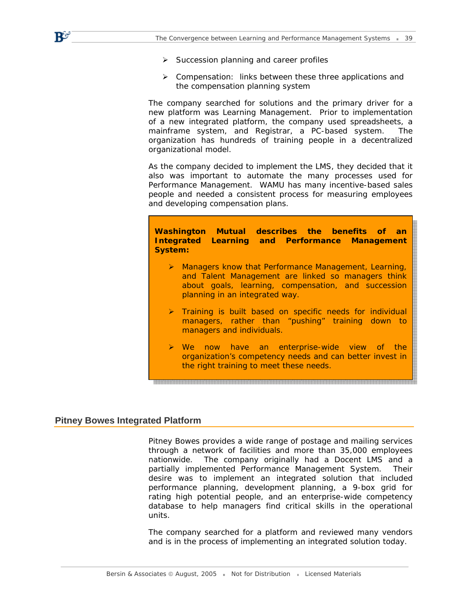

- $\triangleright$  Succession planning and career profiles
- ¾ Compensation: links between these three applications and the compensation planning system

The company searched for solutions and the primary driver for a new platform was Learning Management. Prior to implementation of a new integrated platform, the company used spreadsheets, a mainframe system, and Registrar, a PC-based system. The organization has hundreds of training people in a decentralized organizational model.

As the company decided to implement the LMS, they decided that it also was important to automate the many processes used for Performance Management. WAMU has many incentive-based sales people and needed a consistent process for measuring employees and developing compensation plans.

**Washington Mutual describes the benefits of an Integrated Learning and Performance Management System:** 

- ¾ *Managers know that Performance Management, Learning, and Talent Management are linked so managers think about goals, learning, compensation, and succession planning in an integrated way.*
- ¾ *Training is built based on specific needs for individual managers, rather than "pushing" training down to managers and individuals.*
- ¾ *We now have an enterprise-wide view of the organization's competency needs and can better invest in the right training to meet these needs.*

#### **Pitney Bowes Integrated Platform**

Pitney Bowes provides a wide range of postage and mailing services through a network of facilities and more than 35,000 employees nationwide. The company originally had a Docent LMS and a partially implemented Performance Management System. Their desire was to implement an integrated solution that included performance planning, development planning, a 9-box grid for rating high potential people, and an enterprise-wide competency database to help managers find critical skills in the operational units.

The company searched for a platform and reviewed many vendors and is in the process of implementing an integrated solution today.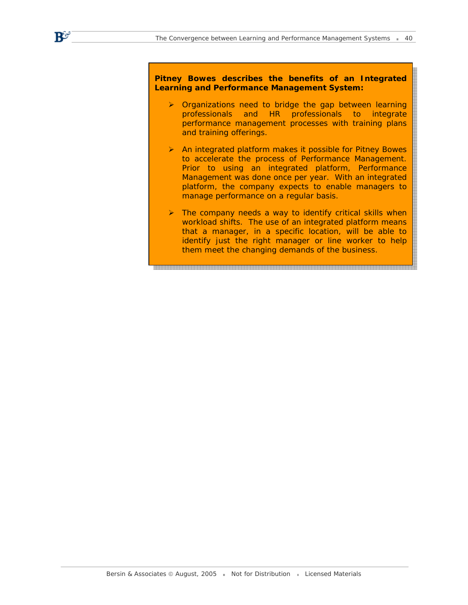$\mathbf{B}^{\mathcal{G}^{\prime}}$ 

**Pitney Bowes describes the benefits of an Integrated Learning and Performance Management System:** 

- ¾ *Organizations need to bridge the gap between learning professionals and HR professionals to integrate performance management processes with training plans and training offerings.*
- ¾ *An integrated platform makes it possible for Pitney Bowes to accelerate the process of Performance Management. Prior to using an integrated platform, Performance Management was done once per year. With an integrated platform, the company expects to enable managers to manage performance on a regular basis.*
- ¾ *The company needs a way to identify critical skills when workload shifts. The use of an integrated platform means that a manager, in a specific location, will be able to identify just the right manager or line worker to help them meet the changing demands of the business.*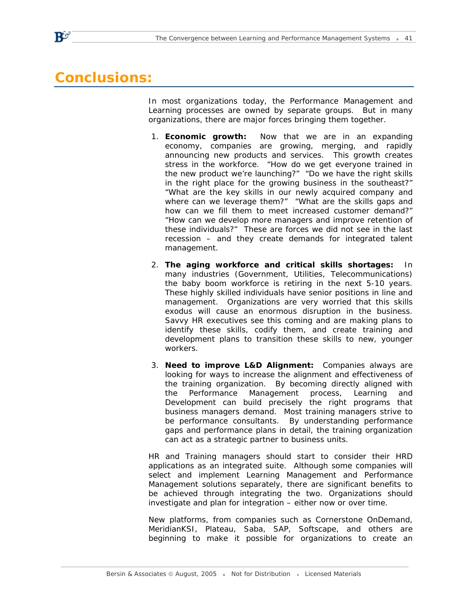# **Conclusions:**

 $\mathbf{P}^{\sigma}$ 

In most organizations today, the Performance Management and Learning processes are owned by separate groups. But in many organizations, there are major forces bringing them together.

- 1. **Economic growth:** Now that we are in an expanding economy, companies are growing, merging, and rapidly announcing new products and services. This growth creates stress in the workforce. "How do we get everyone trained in the new product we're launching?" "Do we have the right skills in the right place for the growing business in the southeast?" "What are the key skills in our newly acquired company and where can we leverage them?" "What are the skills gaps and how can we fill them to meet increased customer demand?" "How can we develop more managers and improve retention of these individuals?" These are forces we did not see in the last recession – and they create demands for integrated talent management.
- 2. **The aging workforce and critical skills shortages:** In many industries (Government, Utilities, Telecommunications) the baby boom workforce is retiring in the next 5-10 years. These highly skilled individuals have senior positions in line and management. Organizations are very worried that this skills exodus will cause an enormous disruption in the business. Savvy HR executives see this coming and are making plans to identify these skills, codify them, and create training and development plans to transition these skills to new, younger workers.
- 3. **Need to improve L&D Alignment:** Companies always are looking for ways to increase the alignment and effectiveness of the training organization. By becoming directly aligned with the Performance Management process, Learning and Development can build precisely the right programs that business managers demand. Most training managers strive to be performance consultants. By understanding performance gaps and performance plans in detail, the training organization can act as a strategic partner to business units.

HR and Training managers should start to consider their HRD applications as an integrated suite. Although some companies will select and implement Learning Management and Performance Management solutions separately, there are significant benefits to be achieved through integrating the two. Organizations should investigate and plan for integration – either now or over time.

New platforms, from companies such as Cornerstone OnDemand, MeridianKSI, Plateau, Saba, SAP, Softscape, and others are beginning to make it possible for organizations to create an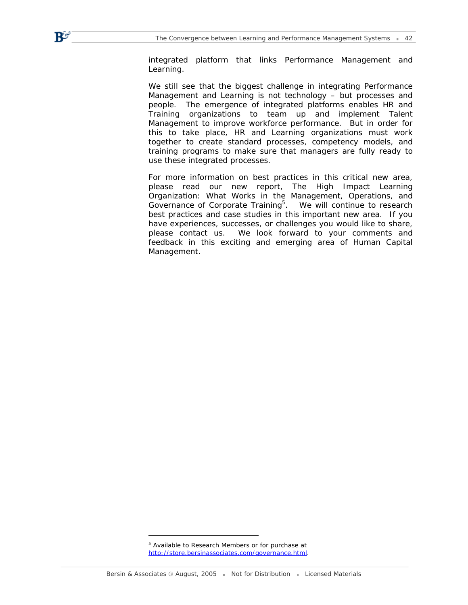integrated platform that links Performance Management and Learning.

We still see that the biggest challenge in integrating Performance Management and Learning is not technology – but processes and people. The emergence of integrated platforms enables HR and Training organizations to team up and implement Talent Management to improve workforce performance. But in order for this to take place, HR and Learning organizations must work together to create standard processes, competency models, and training programs to make sure that managers are fully ready to use these integrated processes.

For more information on best practices in this critical new area, please read our new report, *The High Impact Learning Organization: What Works in the Management, Operations, and*  Governance of Corporate Training<sup>5</sup>. We will continue to research best practices and case studies in this important new area. If you have experiences, successes, or challenges you would like to share, please contact us. We look forward to your comments and feedback in this exciting and emerging area of Human Capital Management.

 $\mathbf{B}^{\mathcal{G}^{\prime}}$ 

<sup>&</sup>lt;sup>5</sup> Available to Research Members or for purchase at [http://store.bersinassociates.com/governance.html.](http://store.bersinassociates.com/governance.html)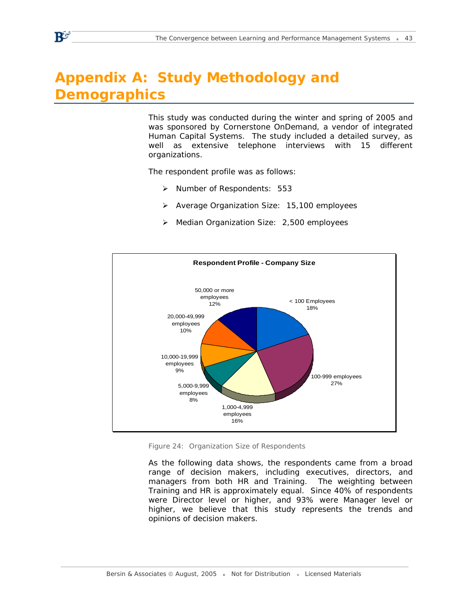# **Appendix A: Study Methodology and Demographics**

This study was conducted during the winter and spring of 2005 and was sponsored by Cornerstone OnDemand, a vendor of integrated Human Capital Systems. The study included a detailed survey, as well as extensive telephone interviews with 15 different organizations.

The respondent profile was as follows:

- ¾ Number of Respondents: 553
- ¾ Average Organization Size: 15,100 employees
- ¾ Median Organization Size: 2,500 employees



*Figure 24: Organization Size of Respondents* 

As the following data shows, the respondents came from a broad range of decision makers, including executives, directors, and managers from both HR and Training. The weighting between Training and HR is approximately equal. Since 40% of respondents were Director level or higher, and 93% were Manager level or higher, we believe that this study represents the trends and opinions of decision makers.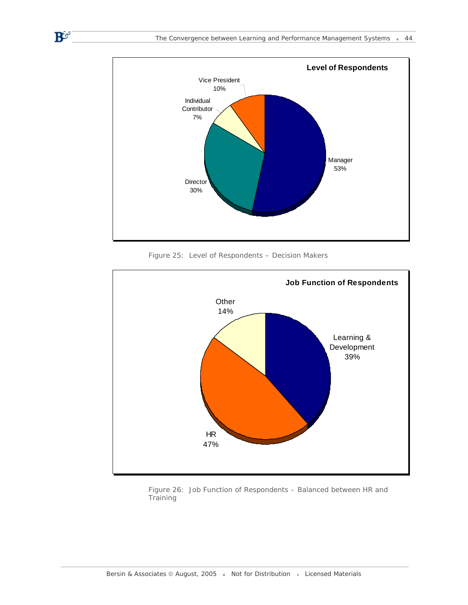

*Figure 25: Level of Respondents – Decision Makers* 

 $\mathbf{B}^\mathbf{C}$ 



*Figure 26: Job Function of Respondents – Balanced between HR and Training*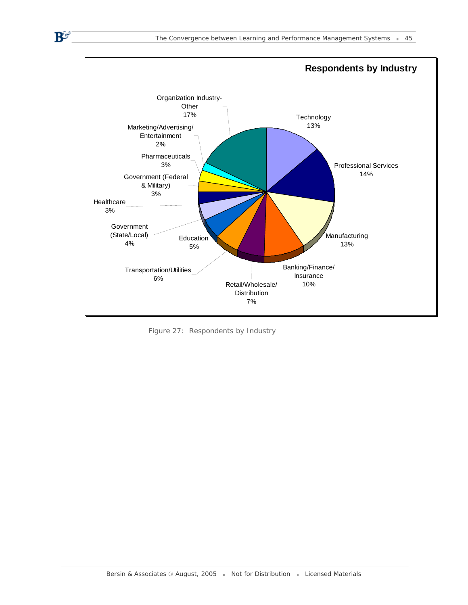

*Figure 27: Respondents by Industry* 

 $\mathbf{B}^\mathbf{C}$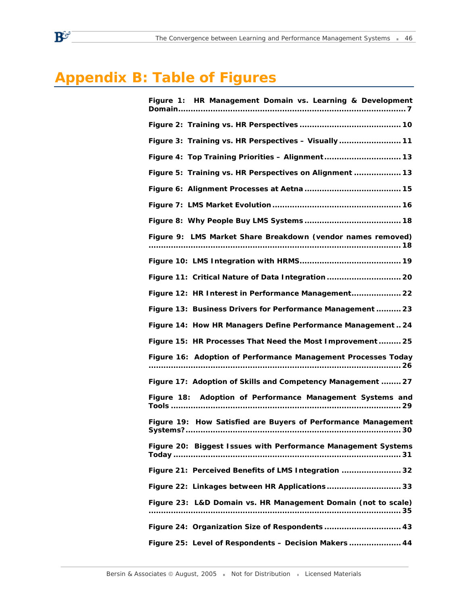# **Appendix B: Table of Figures**

| Figure 1: HR Management Domain vs. Learning & Development     |
|---------------------------------------------------------------|
|                                                               |
| Figure 3: Training vs. HR Perspectives - Visually 11          |
| Figure 4: Top Training Priorities - Alignment 13              |
| Figure 5: Training vs. HR Perspectives on Alignment  13       |
|                                                               |
|                                                               |
|                                                               |
| Figure 9: LMS Market Share Breakdown (vendor names removed)   |
|                                                               |
| Figure 11: Critical Nature of Data Integration 20             |
| Figure 12: HR Interest in Performance Management 22           |
| Figure 13: Business Drivers for Performance Management  23    |
| Figure 14: How HR Managers Define Performance Management  24  |
| Figure 15: HR Processes That Need the Most Improvement  25    |
| Figure 16: Adoption of Performance Management Processes Today |
| Figure 17: Adoption of Skills and Competency Management  27   |
| Figure 18: Adoption of Performance Management Systems and     |
| Figure 19: How Satisfied are Buyers of Performance Management |
| Figure 20: Biggest Issues with Performance Management Systems |
| Figure 21: Perceived Benefits of LMS Integration  32          |
| Figure 22: Linkages between HR Applications 33                |
| Figure 23: L&D Domain vs. HR Management Domain (not to scale) |
| Figure 24: Organization Size of Respondents  43               |
| Figure 25: Level of Respondents - Decision Makers  44         |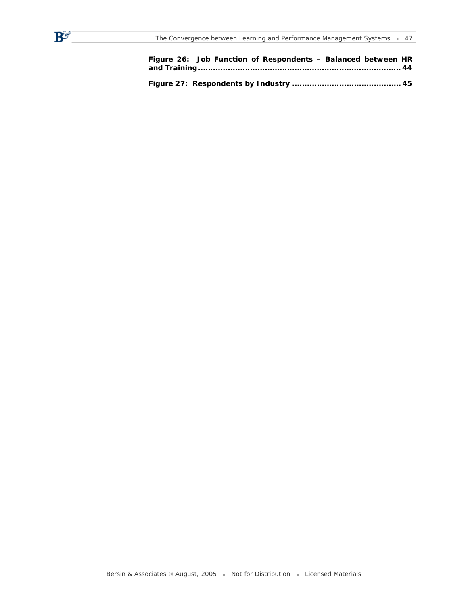$B^{\mathcal{C}}$ 

| Figure 26: Job Function of Respondents - Balanced between HR |  |
|--------------------------------------------------------------|--|
|                                                              |  |
|                                                              |  |
|                                                              |  |